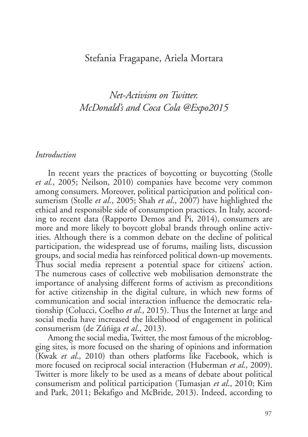#### Stefania Fragapane, Ariela Mortara

# *Net-Activism on Twitter. McDonald's and Coca Cola @Expo2015*

#### *Introduction*

In recent years the practices of boycotting or buycotting (Stolle *et al.*, 2005; Neilson, 2010) companies have become very common among consumers. Moreover, political participation and political consumerism (Stolle *et al*., 2005; Shah *et al*., 2007) have highlighted the ethical and responsible side of consumption practices. In Italy, according to recent data (Rapporto Demos and Pi, 2014), consumers are more and more likely to boycott global brands through online activities. Although there is a common debate on the decline of political participation, the widespread use of forums, mailing lists, discussion groups, and social media has reinforced political down-up movements. Thus social media represent a potential space for citizens' action. The numerous cases of collective web mobilisation demonstrate the importance of analysing different forms of activism as preconditions for active citizenship in the digital culture, in which new forms of communication and social interaction influence the democratic relationship (Colucci, Coelho *et al*., 2015). Thus the Internet at large and social media have increased the likelihood of engagement in political consumerism (de Zúñiga *et al*., 2013).

Among the social media, Twitter, the most famous of the microblogging sites, is more focused on the sharing of opinions and information (Kwak *et al*., 2010) than others platforms like Facebook, which is more focused on reciprocal social interaction (Huberman *et al*., 2009). Twitter is more likely to be used as a means of debate about political consumerism and political participation (Tumasjan *et al*., 2010; Kim and Park, 2011; Bekafigo and McBride, 2013). Indeed, according to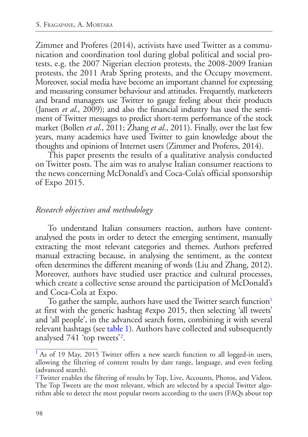Zimmer and Proferes (2014), activists have used Twitter as a communication and coordination tool during global political and social protests, e.g. the 2007 Nigerian election protests, the 2008-2009 Iranian protests, the 2011 Arab Spring protests, and the Occupy movement. Moreover, social media have become an important channel for expressing and measuring consumer behaviour and attitudes. Frequently, marketeers and brand managers use Twitter to gauge feeling about their products (Jansen *et al*., 2009); and also the financial industry has used the sentiment of Twitter messages to predict short-term performance of the stock market (Bollen *et al*., 2011; Zhang *et al*., 2011). Finally, over the last few years, many academics have used Twitter to gain knowledge about the thoughts and opinions of Internet users (Zimmer and Proferes, 2014).

This paper presents the results of a qualitative analysis conducted on Twitter posts. The aim was to analyse Italian consumer reactions to the news concerning McDonald's and Coca-Cola's official sponsorship of Expo 2015.

### *Research objectives and methodology*

To understand Italian consumers reaction, authors have contentanalysed the posts in order to detect the emerging sentiment, manually extracting the most relevant categories and themes. Authors preferred manual extracting because, in analysing the sentiment, as the context often determines the different meaning of words (Liu and Zhang, 2012). Moreover, authors have studied user practice and cultural processes, which create a collective sense around the participation of McDonald's and Coca-Cola at Expo.

<span id="page-1-4"></span><span id="page-1-2"></span>To gather the sample, authors have used the Twitter search function<sup>[1](#page-1-0)</sup> at first with the generic hashtag #expo 2015, then selecting 'all tweets' and 'all people', in the advanced search form, combining it with several relevant hashtags (see [table 1\)](#page-2-0). Authors have collected and subsequently analysed 741 'top tweets'<sup>[2](#page-1-1)</sup>.

<span id="page-1-3"></span><span id="page-1-0"></span><sup>&</sup>lt;sup>[1](#page-1-2)</sup> As of 19 May, 2015 Twitter offers a new search function to all logged-in users, allowing the filtering of content results by date range, language, and even feeling (advanced search).

<span id="page-1-1"></span><sup>&</sup>lt;sup>[2](#page-1-3)</sup> Twitter enables the filtering of results by Top, Live, Accounts, Photos, and Videos. The Top Tweets are the most relevant, which are selected by a special Twitter algorithm able to detect the most popular tweets according to the users (FAQs about top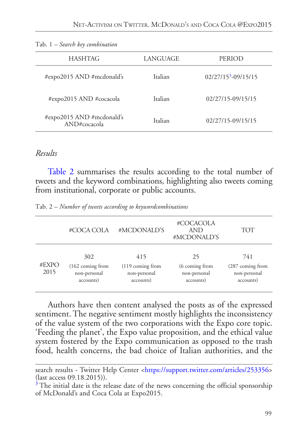<span id="page-2-4"></span>

| <b>HASHTAG</b>                            | LANGUAGE | PERIOD                 |
|-------------------------------------------|----------|------------------------|
| #expo2015 AND #mcdonald's                 | Italian  | $02/27/153 - 09/15/15$ |
| #expo2015 AND #cocacola                   | Italian  | 02/27/15-09/15/15      |
| #expo2015 AND #mcdonald's<br>AND#cocacola | Italian  | 02/27/15-09/15/15      |

<span id="page-2-0"></span>Tab. 1 *– [Search key combination](#page-1-4)*

#### *Results*

<span id="page-2-3"></span>[Table 2](#page-2-2) summarises the results according to the total number of tweets and the keyword combinations, highlighting also tweets coming from institutional, corporate or public accounts.

<span id="page-2-2"></span>Tab. 2 *– [Number of tweets according to keywordcombinations](#page-2-3)*

|               | #COCA COLA                                                      | #MCDONALD'S                                             | #COCACOLA<br><b>AND</b><br>#MCDONALD'S            | <b>TOT</b>                                           |
|---------------|-----------------------------------------------------------------|---------------------------------------------------------|---------------------------------------------------|------------------------------------------------------|
| #EXPO<br>2015 | 302<br>$(162 \text{ coming from})$<br>non-personal<br>accounts) | 415<br>$(119)$ coming from<br>non-personal<br>accounts) | 25<br>(6 coming from<br>non-personal<br>accounts) | 741<br>(287 coming from<br>non-personal<br>accounts) |

Authors have then content analysed the posts as of the expressed sentiment. The negative sentiment mostly highlights the inconsistency of the value system of the two corporations with the Expo core topic. 'Feeding the planet', the Expo value proposition, and the ethical value system fostered by the Expo communication as opposed to the trash food, health concerns, the bad choice of Italian authorities, and the

search results - Twitter Help Center [<https://support.twitter.com/articles/253356](https://support.twitter.com/articles/253356)> (last access 09.18.2015)).

<span id="page-2-1"></span><sup>&</sup>lt;sup>[3](#page-2-4)</sup> The initial date is the release date of the news concerning the official sponsorship of McDonald's and Coca Cola at Expo2015.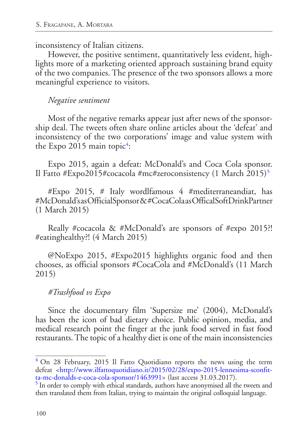inconsistency of Italian citizens.

However, the positive sentiment, quantitatively less evident, highlights more of a marketing oriented approach sustaining brand equity of the two companies. The presence of the two sponsors allows a more meaningful experience to visitors.

#### *Negative sentiment*

Most of the negative remarks appear just after news of the sponsorship deal. The tweets often share online articles about the 'defeat' and inconsistency of the two corporations' image and value system with the Expo 2015 main topic<sup>[4](#page-3-0)</sup>:

<span id="page-3-3"></span><span id="page-3-2"></span>Expo 2015, again a defeat: McDonald's and Coca Cola sponsor. Il Fatto #Expo201[5](#page-3-1)#cocacola #mc#zeroconsistency  $(1 \text{ March } 2015)^5$ 

#Expo 2015, # Italy wordlfamous 4 #mediterraneandiat, has #McDonald's as OfficialSponsor & #CocaCola as OfficalSoftDrinkPartner (1 March 2015)

Really #cocacola & #McDonald's are sponsors of #expo 2015?! #eatinghealthy?! (4 March 2015)

@NoExpo 2015, #Expo2015 highlights organic food and then chooses, as official sponsors #CocaCola and #McDonald's (11 March 2015)

### *#Trashfood vs Expo*

Since the documentary film 'Supersize me' (2004), McDonald's has been the icon of bad dietary choice. Public opinion, media, and medical research point the finger at the junk food served in fast food restaurants. The topic of a healthy diet is one of the main inconsistencies

<span id="page-3-0"></span> $4$  On 28 February, 2015 Il Fatto Quotidiano reports the news using the term defeat [<http://www.ilfattoquotidiano.it/2015/02/28/expo-2015-lennesima-sconfit](http://www.ilfattoquotidiano.it/2015/02/28/expo-2015-lennesima-sconfitta-mc-donalds-e-coca-cola-sponsor/1463991)[ta-mc-donalds-e-coca-cola-sponsor/1463991>](http://www.ilfattoquotidiano.it/2015/02/28/expo-2015-lennesima-sconfitta-mc-donalds-e-coca-cola-sponsor/1463991) (last access 31.03.2017).

<span id="page-3-1"></span><sup>&</sup>lt;sup>[5](#page-3-3)</sup> In order to comply with ethical standards, authors have anonymised all the tweets and then translated them from Italian, trying to maintain the original colloquial language.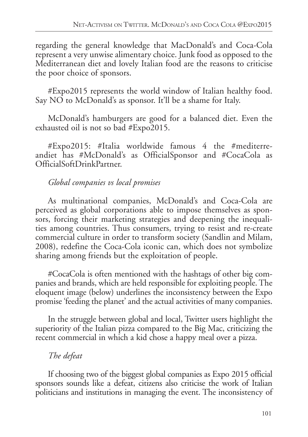regarding the general knowledge that MacDonald's and Coca-Cola represent a very unwise alimentary choice. Junk food as opposed to the Mediterranean diet and lovely Italian food are the reasons to criticise the poor choice of sponsors.

#Expo2015 represents the world window of Italian healthy food. Say NO to McDonald's as sponsor. It'll be a shame for Italy.

McDonald's hamburgers are good for a balanced diet. Even the exhausted oil is not so bad [#Expo2015.](https://twitter.com/hashtag/Expo2015?src=hash)

[#Expo2015:](https://twitter.com/hashtag/Expo2015?src=hash) [#Italia](https://twitter.com/hashtag/Italia?src=hash) worldwide famous 4 the [#mediterre](https://twitter.com/hashtag/dietamediterranea?src=hash)[andiet](https://twitter.com/hashtag/dietamediterranea?src=hash) has [#McDonald](https://twitter.com/hashtag/McDonald?src=hash)'s as OfficialSponsor and [#CocaCola](https://twitter.com/hashtag/CocaCola?src=hash) as OfficialSoftDrinkPartner.

## *Global companies vs local promises*

As multinational companies, McDonald's and Coca-Cola are perceived as global corporations able to impose themselves as sponsors, forcing their marketing strategies and deepening the inequalities among countries. Thus consumers, trying to resist and re-create commercial culture in order to transform society (Sandlin and Milam, 2008), redefine the Coca-Cola iconic can, which does not symbolize sharing among friends but the exploitation of people.

#CocaCola is often mentioned with the hashtags of other big companies and brands, which are held responsible for exploiting people. The eloquent image (below) underlines the inconsistency between the Expo promise 'feeding the planet' and the actual activities of many companies.

In the struggle between global and local, Twitter users highlight the superiority of the Italian pizza compared to the Big Mac, criticizing the recent commercial in which a kid chose a happy meal over a pizza.

## *The defeat*

If choosing two of the biggest global companies as Expo 2015 official sponsors sounds like a defeat, citizens also criticise the work of Italian politicians and institutions in managing the event. The inconsistency of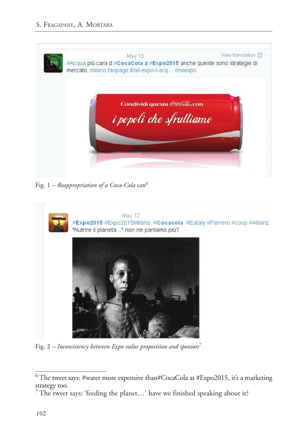

Fig. 1 *– Reappropriation of a Coca-Cola can*[6](#page-5-0)

<span id="page-5-2"></span>

Fig. 2 *– Inconsistency between Expo value proposition and sponsors*[7](#page-5-1)

<span id="page-5-3"></span><span id="page-5-0"></span> $6$  The tweet says: #water more expensive than#CocaCola at #Expo2015, it's a marketing strategy too.

<span id="page-5-1"></span><sup>&</sup>lt;sup>[7](#page-5-3)</sup> The tweet says: 'feeding the planet...' have we finished speaking about it?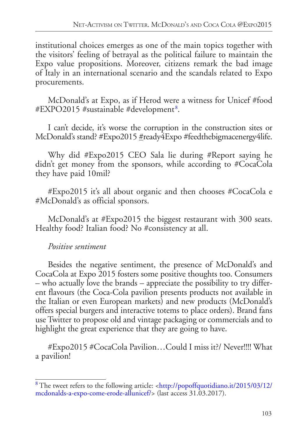institutional choices emerges as one of the main topics together with the visitors' feeling of betrayal as the political failure to maintain the Expo value propositions. Moreover, citizens remark the bad image of Italy in an international scenario and the scandals related to Expo procurements.

<span id="page-6-1"></span>McDonald's at Expo, as if Herod were a witness for Unicef #food #EXPO2015 #sustainable #development [8](#page-6-0) .

I can't decide, it's worse the corruption in the construction sites or McDonald's stand? [#Expo2015](https://twitter.com/hashtag/Expo2015?src=hash) [#](https://twitter.com/hashtag/Italia?src=hash)ready4Expo #feedthebigmacenergy4life.

Why did #Expo2015 CEO Sala lie during #Report saying he didn't get money from the sponsors, while according to #CocaCola they have paid 10mil?

[#Expo2015](https://twitter.com/hashtag/Expo2015?src=hash) it's all about organic and then chooses [#CocaCola](https://twitter.com/hashtag/CocaCola?src=hash) e [#McDonald'](https://twitter.com/hashtag/McDonald?src=hash)s as official sponsors.

McDonald's at [#Expo2015](https://twitter.com/hashtag/Expo2015?src=hash) the biggest restaurant with 300 seats. Healthy food? Italian food? No #consistency at all.

### *Positive sentiment*

Besides the negative sentiment, the presence of McDonald's and CocaCola at Expo 2015 fosters some positive thoughts too. Consumers – who actually love the brands – appreciate the possibility to try different flavours (the Coca-Cola pavilion presents products not available in the Italian or even European markets) and new products (McDonald's offers special burgers and interactive totems to place orders). Brand fans use Twitter to propose old and vintage packaging or commercials and to highlight the great experience that they are going to have.

#Expo2015 #CocaCola Pavilion…Could I miss it?/ Never!!!! What a pavilion!

<span id="page-6-0"></span>[<sup>8</sup>](#page-6-1) The tweet refers to the following article: <[http://popoffquotidiano.it/2015/03/12/](http://popoffquotidiano.it/2015/03/12/mcdonalds-a-expo-come-erode-allunicef/) [mcdonalds-a-expo-come-erode-allunicef/](http://popoffquotidiano.it/2015/03/12/mcdonalds-a-expo-come-erode-allunicef/)> (last access 31.03.2017).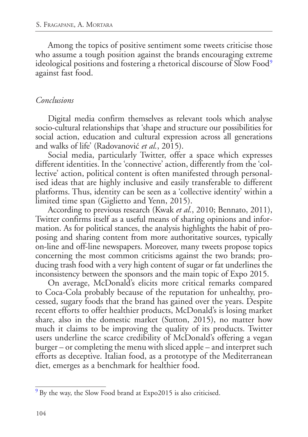<span id="page-7-1"></span>Among the topics of positive sentiment some tweets criticise those who assume a tough position against the brands encouraging extreme ideological positions and fostering a rhetorical discourse of Slow Food<sup>[9](#page-7-0)</sup> against fast food.

### *Conclusions*

Digital media confirm themselves as relevant tools which analyse socio-cultural relationships that 'shape and structure our possibilities for social action, education and cultural expression across all generations and walks of life' (Radovanović *et al.*, 2015).

Social media, particularly Twitter, offer a space which expresses different identities. In the 'connective' action, differently from the 'collective' action, political content is often manifested through personalised ideas that are highly inclusive and easily transferable to different platforms. Thus, identity can be seen as a 'collective identity' within a limited time span (Giglietto and Yenn, 2015).

According to previous research (Kwak *et al.*, 2010; Bennato, 2011), Twitter confirms itself as a useful means of sharing opinions and information. As for political stances, the analysis highlights the habit of proposing and sharing content from more authoritative sources, typically on-line and off-line newspapers. Moreover, many tweets propose topics concerning the most common criticisms against the two brands; producing trash food with a very high content of sugar or fat underlines the inconsistency between the sponsors and the main topic of Expo 2015.

On average, McDonald's elicits more critical remarks compared to Coca-Cola probably because of the reputation for unhealthy, processed, sugary foods that the brand has gained over the years. Despite recent efforts to offer healthier products, McDonald's is losing market share, also in the domestic market (Sutton, 2015), no matter how much it claims to be improving the quality of its products. Twitter users underline the scarce credibility of McDonald's offering a vegan burger – or completing the menu with sliced apple – and interpret such efforts as deceptive. Italian food, as a prototype of the Mediterranean diet, emerges as a benchmark for healthier food.

<span id="page-7-0"></span><sup>&</sup>lt;sup>[9](#page-7-1)</sup> By the way, the Slow Food brand at Expo2015 is also criticised.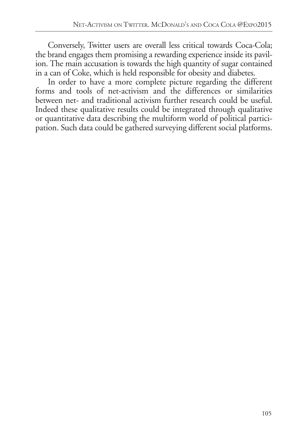Conversely, Twitter users are overall less critical towards Coca-Cola; the brand engages them promising a rewarding experience inside its pavilion. The main accusation is towards the high quantity of sugar contained in a can of Coke, which is held responsible for obesity and diabetes.

In order to have a more complete picture regarding the different forms and tools of net-activism and the differences or similarities between net- and traditional activism further research could be useful. Indeed these qualitative results could be integrated through qualitative or quantitative data describing the multiform world of political participation. Such data could be gathered surveying different social platforms.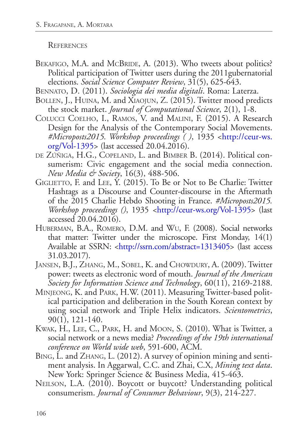**REFERENCES** 

- BEKAFIGO, M.A. and MCBRIDE, A. (2013). Who tweets about politics? Political participation of Twitter users during the 2011gubernatorial elections. *Social Science Computer Review*, 31(5), 625-643.
- Bennato, D. (2011). *Sociologia dei media digitali*. Roma: Laterza.
- BOLLEN, J., HUINA, M. and XIAOJUN, Z. (2015). Twitter mood predicts the stock market. *Journal of Computational Science*, 2(1), 1-8.
- Colucci Coelho, I., Ramos, V. and Malini, F. (2015). A Research Design for the Analysis of the Contemporary Social Movements. *#Microposts2015. Workshop proceedings ( )*, 1935 <[http://ceur-ws.](http://ceur-ws.org/Vol-1395) [org/Vol-1395>](http://ceur-ws.org/Vol-1395) (last accessed 20.04.2016).
- de Zúñiga, H.G., Copeland, L. and Bimber B. (2014). Political consumerism: Civic engagement and the social media connection. *New Media & Society*, 16(3), 488-506.
- GIGLIETTO, F. and LEE, Y. (2015). To Be or Not to Be Charlie: Twitter Hashtags as a Discourse and Counter-discourse in the Aftermath of the 2015 Charlie Hebdo Shooting in France. *#Microposts2015. Workshop proceedings ()*, 1935 *<*<http://ceur-ws.org/Vol-1395>> (last accessed 20.04.2016).
- Huberman, B.A., Romero, D.M. and Wu, F. (2008). Social networks that matter: Twitter under the microscope. First Monday, 14(1) Available at SSRN: [<http://ssrn.com/abstract=1313405](http://ssrn.com/abstract=1313405)> (last access 31.03.2017).
- JANSEN, B.J., ZHANG, M., SOBEL, K. and CHOWDURY, A. (2009). Twitter power: tweets as electronic word of mouth. *Journal of the American Society for Information Science and Technology*, 60(11), 2169-2188.
- Minjeong, K. and Park, H.W. (2011). Measuring Twitter-based political participation and deliberation in the South Korean context by using social network and Triple Helix indicators. *Scientometrics*, 90(1), 121-140.
- Kwak, H., Lee, C., Park, H. and Moon, S. (2010). What is Twitter, a social network or a news media? *Proceedings of the 19th international conference on World wide web*, 591-600, ACM.
- Bing, L. and Zhang, L. (2012). A survey of opinion mining and sentiment analysis. In Aggarwal, C.C. and Zhai, C.X, *Mining text data*. New York: Springer Science & Business Media, 415-463.
- Neilson, L.A. (2010). Boycott or buycott? Understanding political consumerism. *Journal of Consumer Behaviour*, 9(3), 214-227.